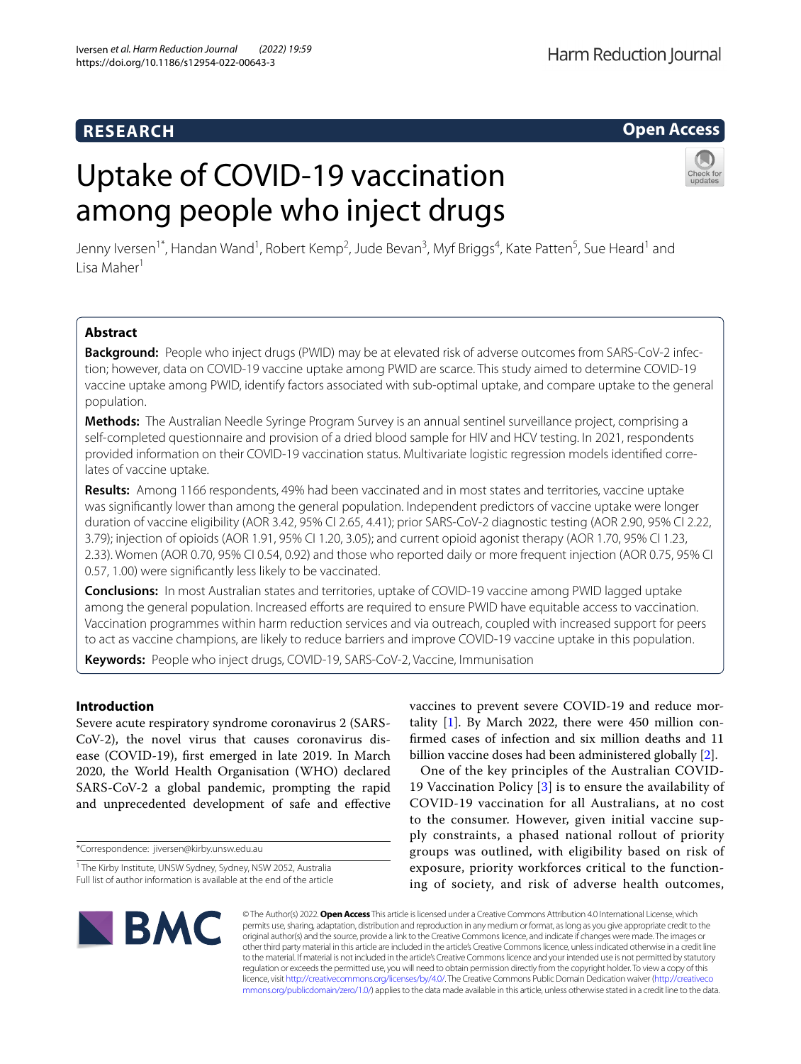# **RESEARCH**

# Harm Reduction Journal

# **Open Access**

# Uptake of COVID-19 vaccination among people who inject drugs



Jenny Iversen<sup>1\*</sup>, Handan Wand<sup>1</sup>, Robert Kemp<sup>2</sup>, Jude Bevan<sup>3</sup>, Myf Briggs<sup>4</sup>, Kate Patten<sup>5</sup>, Sue Heard<sup>1</sup> and Lisa Maher<sup>1</sup>

# **Abstract**

**Background:** People who inject drugs (PWID) may be at elevated risk of adverse outcomes from SARS-CoV-2 infection; however, data on COVID-19 vaccine uptake among PWID are scarce. This study aimed to determine COVID-19 vaccine uptake among PWID, identify factors associated with sub-optimal uptake, and compare uptake to the general population.

**Methods:** The Australian Needle Syringe Program Survey is an annual sentinel surveillance project, comprising a self-completed questionnaire and provision of a dried blood sample for HIV and HCV testing. In 2021, respondents provided information on their COVID-19 vaccination status. Multivariate logistic regression models identifed correlates of vaccine uptake.

**Results:** Among 1166 respondents, 49% had been vaccinated and in most states and territories, vaccine uptake was signifcantly lower than among the general population. Independent predictors of vaccine uptake were longer duration of vaccine eligibility (AOR 3.42, 95% CI 2.65, 4.41); prior SARS-CoV-2 diagnostic testing (AOR 2.90, 95% CI 2.22, 3.79); injection of opioids (AOR 1.91, 95% CI 1.20, 3.05); and current opioid agonist therapy (AOR 1.70, 95% CI 1.23, 2.33). Women (AOR 0.70, 95% CI 0.54, 0.92) and those who reported daily or more frequent injection (AOR 0.75, 95% CI 0.57, 1.00) were signifcantly less likely to be vaccinated.

**Conclusions:** In most Australian states and territories, uptake of COVID-19 vaccine among PWID lagged uptake among the general population. Increased efforts are required to ensure PWID have equitable access to vaccination. Vaccination programmes within harm reduction services and via outreach, coupled with increased support for peers to act as vaccine champions, are likely to reduce barriers and improve COVID-19 vaccine uptake in this population.

**Keywords:** People who inject drugs, COVID-19, SARS-CoV-2, Vaccine, Immunisation

## **Introduction**

Severe acute respiratory syndrome coronavirus 2 (SARS-CoV-2), the novel virus that causes coronavirus disease (COVID-19), frst emerged in late 2019. In March 2020, the World Health Organisation (WHO) declared SARS-CoV-2 a global pandemic, prompting the rapid and unprecedented development of safe and efective

\*Correspondence: jiversen@kirby.unsw.edu.au

vaccines to prevent severe COVID-19 and reduce mortality  $[1]$  $[1]$ . By March 2022, there were 450 million confrmed cases of infection and six million deaths and 11 billion vaccine doses had been administered globally [[2\]](#page-7-1).

One of the key principles of the Australian COVID-19 Vaccination Policy [[3\]](#page-7-2) is to ensure the availability of COVID-19 vaccination for all Australians, at no cost to the consumer. However, given initial vaccine supply constraints, a phased national rollout of priority groups was outlined, with eligibility based on risk of exposure, priority workforces critical to the functioning of society, and risk of adverse health outcomes,



© The Author(s) 2022. **Open Access** This article is licensed under a Creative Commons Attribution 4.0 International License, which permits use, sharing, adaptation, distribution and reproduction in any medium or format, as long as you give appropriate credit to the original author(s) and the source, provide a link to the Creative Commons licence, and indicate if changes were made. The images or other third party material in this article are included in the article's Creative Commons licence, unless indicated otherwise in a credit line to the material. If material is not included in the article's Creative Commons licence and your intended use is not permitted by statutory regulation or exceeds the permitted use, you will need to obtain permission directly from the copyright holder. To view a copy of this licence, visit [http://creativecommons.org/licenses/by/4.0/.](http://creativecommons.org/licenses/by/4.0/) The Creative Commons Public Domain Dedication waiver ([http://creativeco](http://creativecommons.org/publicdomain/zero/1.0/) [mmons.org/publicdomain/zero/1.0/](http://creativecommons.org/publicdomain/zero/1.0/)) applies to the data made available in this article, unless otherwise stated in a credit line to the data.

<sup>&</sup>lt;sup>1</sup> The Kirby Institute, UNSW Sydney, Sydney, NSW 2052, Australia Full list of author information is available at the end of the article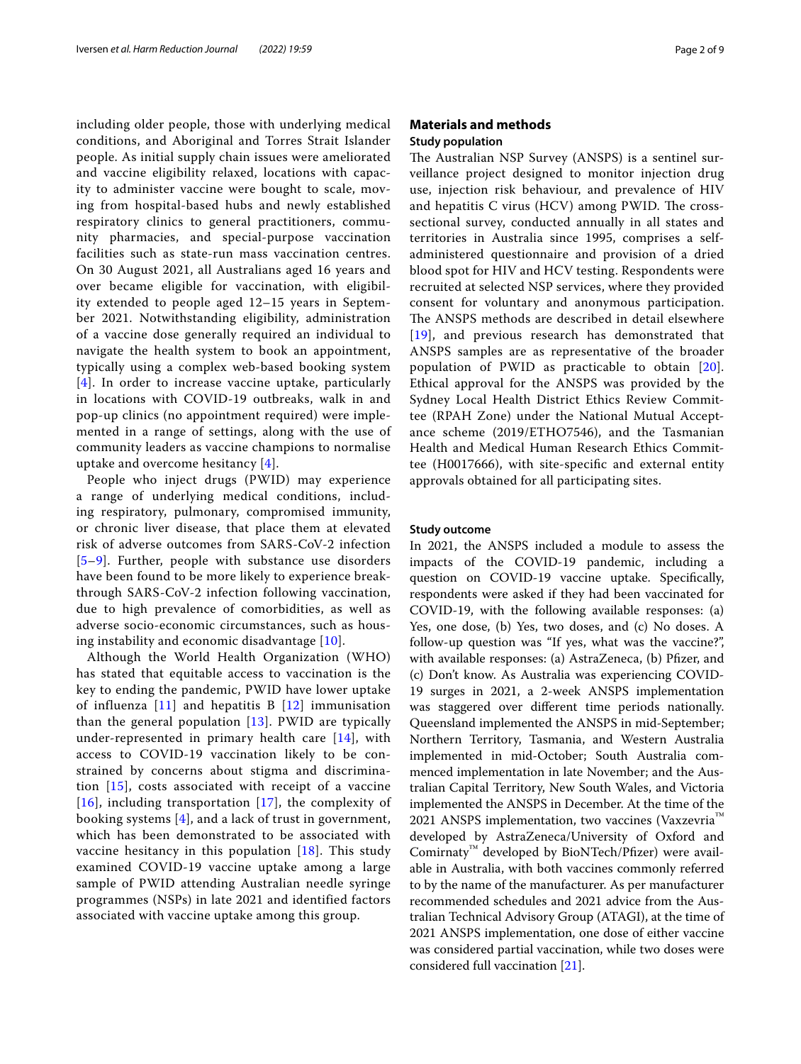including older people, those with underlying medical conditions, and Aboriginal and Torres Strait Islander people. As initial supply chain issues were ameliorated and vaccine eligibility relaxed, locations with capacity to administer vaccine were bought to scale, moving from hospital-based hubs and newly established respiratory clinics to general practitioners, community pharmacies, and special-purpose vaccination facilities such as state-run mass vaccination centres. On 30 August 2021, all Australians aged 16 years and over became eligible for vaccination, with eligibility extended to people aged 12–15 years in September 2021. Notwithstanding eligibility, administration of a vaccine dose generally required an individual to navigate the health system to book an appointment, typically using a complex web-based booking system [[4](#page-7-3)]. In order to increase vaccine uptake, particularly in locations with COVID-19 outbreaks, walk in and pop-up clinics (no appointment required) were implemented in a range of settings, along with the use of community leaders as vaccine champions to normalise uptake and overcome hesitancy [[4\]](#page-7-3).

People who inject drugs (PWID) may experience a range of underlying medical conditions, including respiratory, pulmonary, compromised immunity, or chronic liver disease, that place them at elevated risk of adverse outcomes from SARS-CoV-2 infection [[5](#page-7-4)[–9](#page-7-5)]. Further, people with substance use disorders have been found to be more likely to experience breakthrough SARS-CoV-2 infection following vaccination, due to high prevalence of comorbidities, as well as adverse socio-economic circumstances, such as housing instability and economic disadvantage [[10](#page-7-6)].

Although the World Health Organization (WHO) has stated that equitable access to vaccination is the key to ending the pandemic, PWID have lower uptake of influenza  $[11]$  $[11]$  $[11]$  and hepatitis B  $[12]$  $[12]$  $[12]$  immunisation than the general population [\[13\]](#page-7-9). PWID are typically under-represented in primary health care [[14](#page-7-10)], with access to COVID-19 vaccination likely to be constrained by concerns about stigma and discrimination [[15](#page-7-11)], costs associated with receipt of a vaccine  $[16]$  $[16]$  $[16]$ , including transportation  $[17]$  $[17]$ , the complexity of booking systems [[4](#page-7-3)], and a lack of trust in government, which has been demonstrated to be associated with vaccine hesitancy in this population [[18](#page-7-14)]. This study examined COVID-19 vaccine uptake among a large sample of PWID attending Australian needle syringe programmes (NSPs) in late 2021 and identified factors associated with vaccine uptake among this group.

## **Materials and methods Study population**

The Australian NSP Survey (ANSPS) is a sentinel surveillance project designed to monitor injection drug use, injection risk behaviour, and prevalence of HIV and hepatitis  $C$  virus (HCV) among PWID. The crosssectional survey, conducted annually in all states and territories in Australia since 1995, comprises a selfadministered questionnaire and provision of a dried blood spot for HIV and HCV testing. Respondents were recruited at selected NSP services, where they provided consent for voluntary and anonymous participation. The ANSPS methods are described in detail elsewhere [[19](#page-7-15)], and previous research has demonstrated that ANSPS samples are as representative of the broader population of PWID as practicable to obtain [[20](#page-8-0)]. Ethical approval for the ANSPS was provided by the Sydney Local Health District Ethics Review Committee (RPAH Zone) under the National Mutual Acceptance scheme (2019/ETHO7546), and the Tasmanian Health and Medical Human Research Ethics Committee (H0017666), with site-specifc and external entity approvals obtained for all participating sites.

#### **Study outcome**

In 2021, the ANSPS included a module to assess the impacts of the COVID-19 pandemic, including a question on COVID-19 vaccine uptake. Specifcally, respondents were asked if they had been vaccinated for COVID-19, with the following available responses: (a) Yes, one dose, (b) Yes, two doses, and (c) No doses. A follow-up question was "If yes, what was the vaccine?", with available responses: (a) AstraZeneca, (b) Pfizer, and (c) Don't know. As Australia was experiencing COVID-19 surges in 2021, a 2-week ANSPS implementation was staggered over diferent time periods nationally. Queensland implemented the ANSPS in mid-September; Northern Territory, Tasmania, and Western Australia implemented in mid-October; South Australia commenced implementation in late November; and the Australian Capital Territory, New South Wales, and Victoria implemented the ANSPS in December. At the time of the 2021 ANSPS implementation, two vaccines (Vaxzevria™ developed by AstraZeneca/University of Oxford and Comirnaty™ developed by BioNTech/Pfzer) were available in Australia, with both vaccines commonly referred to by the name of the manufacturer. As per manufacturer recommended schedules and 2021 advice from the Australian Technical Advisory Group (ATAGI), at the time of 2021 ANSPS implementation, one dose of either vaccine was considered partial vaccination, while two doses were considered full vaccination [[21\]](#page-8-1).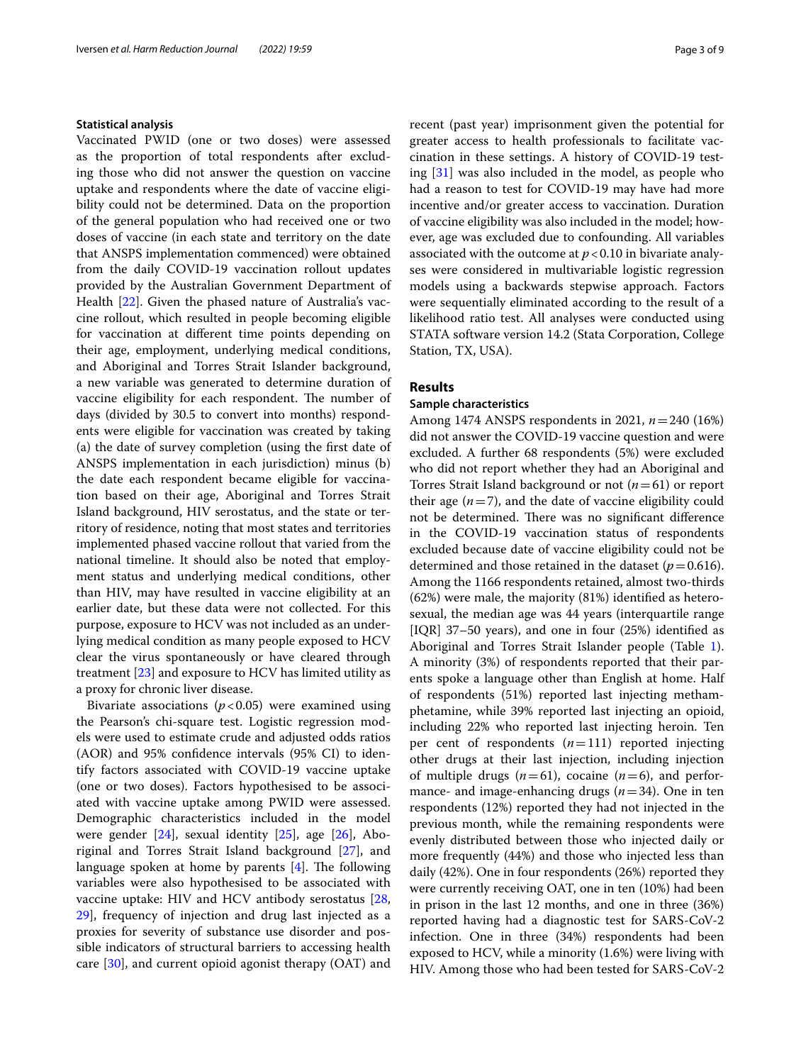#### **Statistical analysis**

Vaccinated PWID (one or two doses) were assessed as the proportion of total respondents after excluding those who did not answer the question on vaccine uptake and respondents where the date of vaccine eligibility could not be determined. Data on the proportion of the general population who had received one or two doses of vaccine (in each state and territory on the date that ANSPS implementation commenced) were obtained from the daily COVID-19 vaccination rollout updates provided by the Australian Government Department of Health [\[22\]](#page-8-2). Given the phased nature of Australia's vaccine rollout, which resulted in people becoming eligible for vaccination at diferent time points depending on their age, employment, underlying medical conditions, and Aboriginal and Torres Strait Islander background, a new variable was generated to determine duration of vaccine eligibility for each respondent. The number of days (divided by 30.5 to convert into months) respondents were eligible for vaccination was created by taking (a) the date of survey completion (using the frst date of ANSPS implementation in each jurisdiction) minus (b) the date each respondent became eligible for vaccination based on their age, Aboriginal and Torres Strait Island background, HIV serostatus, and the state or territory of residence, noting that most states and territories implemented phased vaccine rollout that varied from the national timeline. It should also be noted that employment status and underlying medical conditions, other than HIV, may have resulted in vaccine eligibility at an earlier date, but these data were not collected. For this purpose, exposure to HCV was not included as an underlying medical condition as many people exposed to HCV clear the virus spontaneously or have cleared through treatment [\[23](#page-8-3)] and exposure to HCV has limited utility as a proxy for chronic liver disease.

Bivariate associations  $(p < 0.05)$  were examined using the Pearson's chi-square test. Logistic regression models were used to estimate crude and adjusted odds ratios (AOR) and 95% confdence intervals (95% CI) to identify factors associated with COVID-19 vaccine uptake (one or two doses). Factors hypothesised to be associated with vaccine uptake among PWID were assessed. Demographic characteristics included in the model were gender [\[24](#page-8-4)], sexual identity [\[25](#page-8-5)], age [\[26](#page-8-6)], Aboriginal and Torres Strait Island background [[27\]](#page-8-7), and language spoken at home by parents  $[4]$  $[4]$ . The following variables were also hypothesised to be associated with vaccine uptake: HIV and HCV antibody serostatus [\[28](#page-8-8), [29\]](#page-8-9), frequency of injection and drug last injected as a proxies for severity of substance use disorder and possible indicators of structural barriers to accessing health care [\[30\]](#page-8-10), and current opioid agonist therapy (OAT) and recent (past year) imprisonment given the potential for greater access to health professionals to facilitate vaccination in these settings. A history of COVID-19 testing [\[31](#page-8-11)] was also included in the model, as people who had a reason to test for COVID-19 may have had more incentive and/or greater access to vaccination. Duration of vaccine eligibility was also included in the model; however, age was excluded due to confounding. All variables associated with the outcome at  $p < 0.10$  in bivariate analyses were considered in multivariable logistic regression models using a backwards stepwise approach. Factors were sequentially eliminated according to the result of a likelihood ratio test. All analyses were conducted using STATA software version 14.2 (Stata Corporation, College Station, TX, USA).

# **Results**

#### **Sample characteristics**

Among 1474 ANSPS respondents in 2021, *n*=240 (16%) did not answer the COVID-19 vaccine question and were excluded. A further 68 respondents (5%) were excluded who did not report whether they had an Aboriginal and Torres Strait Island background or not (*n*=61) or report their age  $(n=7)$ , and the date of vaccine eligibility could not be determined. There was no significant difference in the COVID-19 vaccination status of respondents excluded because date of vaccine eligibility could not be determined and those retained in the dataset  $(p=0.616)$ . Among the 1166 respondents retained, almost two-thirds (62%) were male, the majority (81%) identifed as heterosexual, the median age was 44 years (interquartile range [IQR] 37–50 years), and one in four (25%) identifed as Aboriginal and Torres Strait Islander people (Table [1](#page-3-0)). A minority (3%) of respondents reported that their parents spoke a language other than English at home. Half of respondents (51%) reported last injecting methamphetamine, while 39% reported last injecting an opioid, including 22% who reported last injecting heroin. Ten per cent of respondents (*n*=111) reported injecting other drugs at their last injection, including injection of multiple drugs  $(n=61)$ , cocaine  $(n=6)$ , and performance- and image-enhancing drugs (*n*=34). One in ten respondents (12%) reported they had not injected in the previous month, while the remaining respondents were evenly distributed between those who injected daily or more frequently (44%) and those who injected less than daily (42%). One in four respondents (26%) reported they were currently receiving OAT, one in ten (10%) had been in prison in the last 12 months, and one in three (36%) reported having had a diagnostic test for SARS-CoV-2 infection. One in three (34%) respondents had been exposed to HCV, while a minority (1.6%) were living with HIV. Among those who had been tested for SARS-CoV-2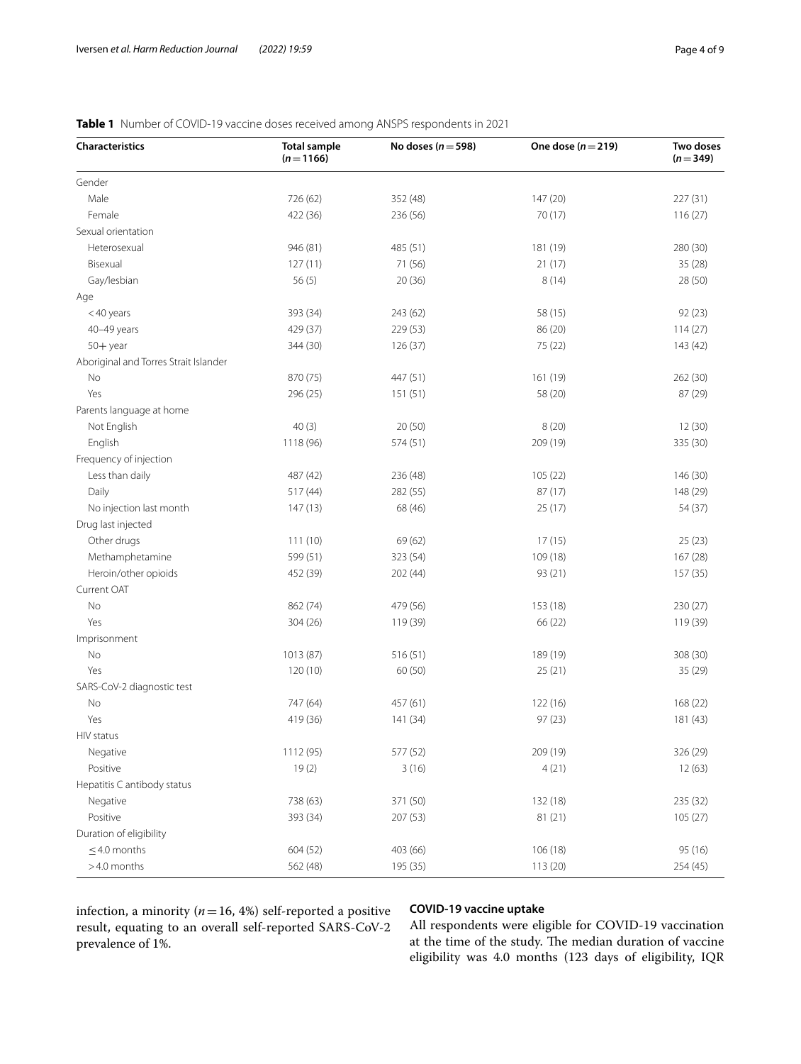| <b>Characteristics</b>                | <b>Total sample</b><br>$(n=1166)$ | No doses ( $n = 598$ ) | One dose $(n=219)$ | Two doses<br>$(n=349)$ |
|---------------------------------------|-----------------------------------|------------------------|--------------------|------------------------|
| Gender                                |                                   |                        |                    |                        |
| Male                                  | 726 (62)                          | 352 (48)               | 147 (20)           | 227 (31)               |
| Female                                | 422 (36)                          | 236 (56)               | 70 (17)            | 116(27)                |
| Sexual orientation                    |                                   |                        |                    |                        |
| Heterosexual                          | 946 (81)                          | 485 (51)               | 181 (19)           | 280 (30)               |
| Bisexual                              | 127(11)                           | 71 (56)                | 21(17)             | 35 (28)                |
| Gay/lesbian                           | 56(5)                             | 20 (36)                | 8(14)              | 28 (50)                |
| Age                                   |                                   |                        |                    |                        |
| <40 years                             | 393 (34)                          | 243 (62)               | 58 (15)            | 92(23)                 |
| 40-49 years                           | 429 (37)                          | 229 (53)               | 86 (20)            | 114(27)                |
| $50 +$ year                           | 344 (30)                          | 126(37)                | 75 (22)            | 143 (42)               |
| Aboriginal and Torres Strait Islander |                                   |                        |                    |                        |
| No                                    | 870 (75)                          | 447 (51)               | 161 (19)           | 262 (30)               |
| Yes                                   | 296 (25)                          | 151(51)                | 58 (20)            | 87 (29)                |
| Parents language at home              |                                   |                        |                    |                        |
| Not English                           | 40(3)                             | 20(50)                 | 8(20)              | 12(30)                 |
| English                               | 1118 (96)                         | 574 (51)               | 209 (19)           | 335 (30)               |
| Frequency of injection                |                                   |                        |                    |                        |
| Less than daily                       | 487 (42)                          | 236 (48)               | 105 (22)           | 146 (30)               |
| Daily                                 | 517 (44)                          | 282 (55)               | 87 (17)            | 148 (29)               |
| No injection last month               | 147(13)                           | 68 (46)                | 25 (17)            | 54 (37)                |
| Drug last injected                    |                                   |                        |                    |                        |
| Other drugs                           | 111 (10)                          | 69 (62)                | 17(15)             | 25(23)                 |
| Methamphetamine                       | 599 (51)                          | 323 (54)               | 109 (18)           | 167 (28)               |
| Heroin/other opioids                  | 452 (39)                          | 202 (44)               | 93 (21)            | 157 (35)               |
| Current OAT                           |                                   |                        |                    |                        |
| No                                    | 862 (74)                          | 479 (56)               | 153 (18)           | 230 (27)               |
| Yes                                   | 304 (26)                          | 119 (39)               | 66 (22)            | 119 (39)               |
| Imprisonment                          |                                   |                        |                    |                        |
| No                                    | 1013 (87)                         | 516 (51)               | 189 (19)           | 308 (30)               |
| Yes                                   | 120(10)                           | 60 (50)                | 25(21)             | 35 (29)                |
| SARS-CoV-2 diagnostic test            |                                   |                        |                    |                        |
| No                                    | 747 (64)                          |                        | 122(16)            | 168 (22)               |
| Yes                                   |                                   | 457 (61)               |                    | 181 (43)               |
|                                       | 419 (36)                          | 141 (34)               | 97 (23)            |                        |
| HIV status                            |                                   |                        |                    |                        |
| Negative                              | 1112 (95)                         | 577 (52)               | 209 (19)           | 326 (29)               |
| Positive                              | 19(2)                             | 3(16)                  | 4(21)              | 12(63)                 |
| Hepatitis C antibody status           |                                   |                        |                    |                        |
| Negative                              | 738 (63)                          | 371 (50)               | 132 (18)           | 235 (32)               |
| Positive                              | 393 (34)                          | 207 (53)               | 81 (21)            | 105 (27)               |
| Duration of eligibility               |                                   |                        |                    |                        |
| $\leq$ 4.0 months                     | 604 (52)                          | 403 (66)               | 106 (18)           | 95 (16)                |
| >4.0 months                           | 562 (48)                          | 195 (35)               | 113 (20)           | 254 (45)               |

# <span id="page-3-0"></span>**Table 1** Number of COVID-19 vaccine doses received among ANSPS respondents in 2021

infection, a minority ( $n=16$ , 4%) self-reported a positive result, equating to an overall self-reported SARS-CoV-2 prevalence of 1%.

# **COVID‑19 vaccine uptake**

All respondents were eligible for COVID-19 vaccination at the time of the study. The median duration of vaccine eligibility was 4.0 months (123 days of eligibility, IQR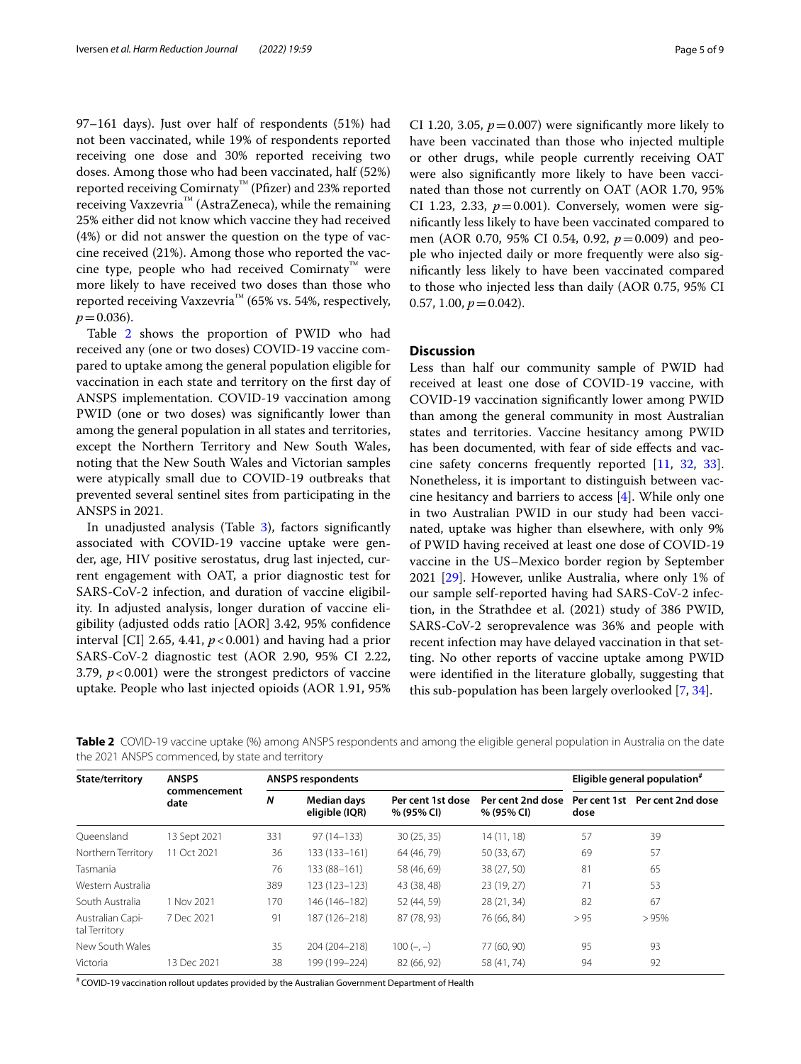97–161 days). Just over half of respondents (51%) had not been vaccinated, while 19% of respondents reported receiving one dose and 30% reported receiving two doses. Among those who had been vaccinated, half (52%) reported receiving Comirnaty™ (Pfzer) and 23% reported receiving Vaxzevria™ (AstraZeneca), while the remaining 25% either did not know which vaccine they had received (4%) or did not answer the question on the type of vaccine received (21%). Among those who reported the vaccine type, people who had received Comirnaty™ were more likely to have received two doses than those who reported receiving Vaxzevria™ (65% vs. 54%, respectively,  $p = 0.036$ .

Table [2](#page-4-0) shows the proportion of PWID who had received any (one or two doses) COVID-19 vaccine compared to uptake among the general population eligible for vaccination in each state and territory on the frst day of ANSPS implementation. COVID-19 vaccination among PWID (one or two doses) was significantly lower than among the general population in all states and territories, except the Northern Territory and New South Wales, noting that the New South Wales and Victorian samples were atypically small due to COVID-19 outbreaks that prevented several sentinel sites from participating in the ANSPS in 2021.

In unadjusted analysis (Table [3\)](#page-5-0), factors significantly associated with COVID-19 vaccine uptake were gender, age, HIV positive serostatus, drug last injected, current engagement with OAT, a prior diagnostic test for SARS-CoV-2 infection, and duration of vaccine eligibility. In adjusted analysis, longer duration of vaccine eligibility (adjusted odds ratio [AOR] 3.42, 95% confdence interval [CI] 2.65, 4.41,  $p < 0.001$ ) and having had a prior SARS-CoV-2 diagnostic test (AOR 2.90, 95% CI 2.22, 3.79,  $p < 0.001$ ) were the strongest predictors of vaccine uptake. People who last injected opioids (AOR 1.91, 95% CI 1.20, 3.05,  $p = 0.007$ ) were significantly more likely to have been vaccinated than those who injected multiple or other drugs, while people currently receiving OAT were also signifcantly more likely to have been vaccinated than those not currently on OAT (AOR 1.70, 95% CI 1.23, 2.33,  $p=0.001$ ). Conversely, women were signifcantly less likely to have been vaccinated compared to men (AOR 0.70, 95% CI 0.54, 0.92, *p*=0.009) and people who injected daily or more frequently were also signifcantly less likely to have been vaccinated compared to those who injected less than daily (AOR 0.75, 95% CI 0.57, 1.00,  $p = 0.042$ ).

### **Discussion**

Less than half our community sample of PWID had received at least one dose of COVID-19 vaccine, with COVID-19 vaccination signifcantly lower among PWID than among the general community in most Australian states and territories. Vaccine hesitancy among PWID has been documented, with fear of side effects and vaccine safety concerns frequently reported [[11,](#page-7-7) [32,](#page-8-12) [33](#page-8-13)]. Nonetheless, it is important to distinguish between vaccine hesitancy and barriers to access [[4\]](#page-7-3). While only one in two Australian PWID in our study had been vaccinated, uptake was higher than elsewhere, with only 9% of PWID having received at least one dose of COVID-19 vaccine in the US–Mexico border region by September 2021 [\[29](#page-8-9)]. However, unlike Australia, where only 1% of our sample self-reported having had SARS-CoV-2 infection, in the Strathdee et al. (2021) study of 386 PWID, SARS-CoV-2 seroprevalence was 36% and people with recent infection may have delayed vaccination in that setting. No other reports of vaccine uptake among PWID were identifed in the literature globally, suggesting that this sub-population has been largely overlooked [\[7](#page-7-16), [34\]](#page-8-14).

<span id="page-4-0"></span>**Table 2** COVID-19 vaccine uptake (%) among ANSPS respondents and among the eligible general population in Australia on the date the 2021 ANSPS commenced, by state and territory

| State/territory                   | <b>ANSPS</b><br>commencement<br>date | <b>ANSPS respondents</b> |                               |                                 |                                 | Eligible general population <sup>#</sup> |                                |
|-----------------------------------|--------------------------------------|--------------------------|-------------------------------|---------------------------------|---------------------------------|------------------------------------------|--------------------------------|
|                                   |                                      | N                        | Median days<br>eligible (IQR) | Per cent 1st dose<br>% (95% CI) | Per cent 2nd dose<br>% (95% CI) | dose                                     | Per cent 1st Per cent 2nd dose |
| Oueensland                        | 13 Sept 2021                         | 331                      | $97(14 - 133)$                | 30(25, 35)                      | 14(11, 18)                      | 57                                       | 39                             |
| Northern Territory                | 11 Oct 2021                          | 36                       | 133 (133-161)                 | 64 (46, 79)                     | 50(33, 67)                      | 69                                       | 57                             |
| Tasmania                          |                                      | 76                       | 133 (88-161)                  | 58 (46, 69)                     | 38 (27, 50)                     | 81                                       | 65                             |
| Western Australia                 |                                      | 389                      | 123 (123-123)                 | 43 (38, 48)                     | 23(19, 27)                      | 71                                       | 53                             |
| South Australia                   | 1 Nov 2021                           | 170                      | 146 (146-182)                 | 52 (44, 59)                     | 28 (21, 34)                     | 82                                       | 67                             |
| Australian Capi-<br>tal Territory | 7 Dec 2021                           | 91                       | 187 (126-218)                 | 87 (78, 93)                     | 76 (66, 84)                     | > 95                                     | >95%                           |
| New South Wales                   |                                      | 35                       | 204 (204-218)                 | $100 (-, -)$                    | 77 (60, 90)                     | 95                                       | 93                             |
| Victoria                          | 13 Dec 2021                          | 38                       | 199 (199-224)                 | 82 (66, 92)                     | 58 (41, 74)                     | 94                                       | 92                             |

# COVID-19 vaccination rollout updates provided by the Australian Government Department of Health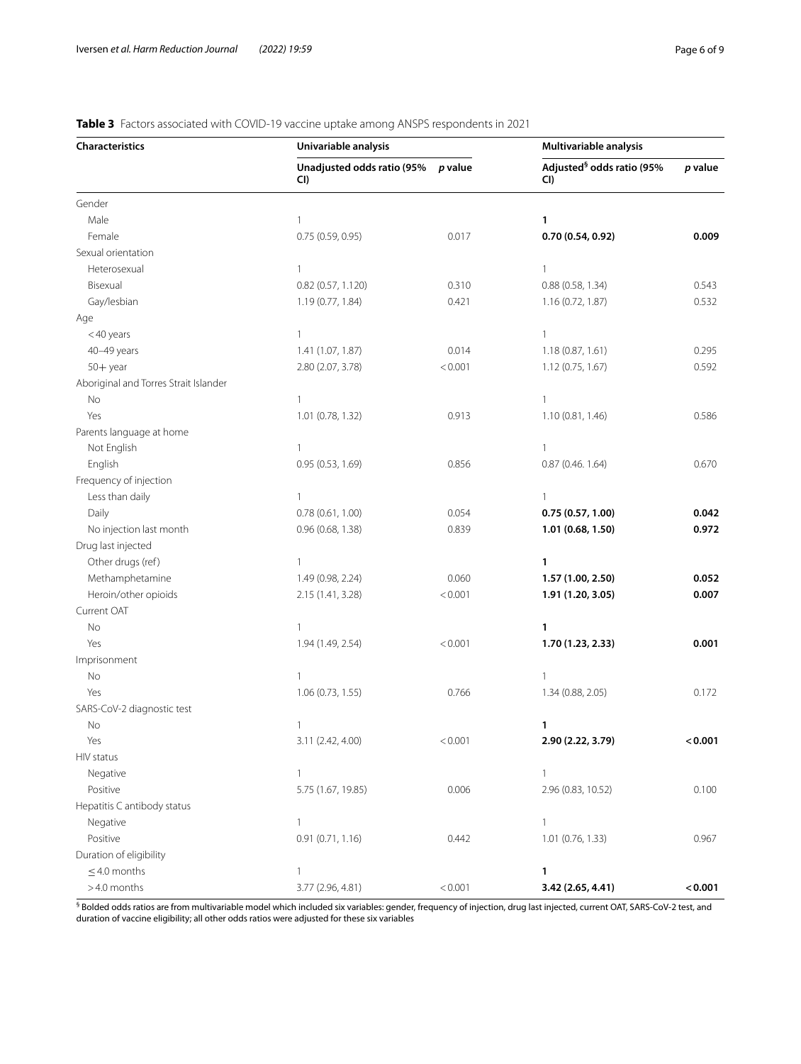# <span id="page-5-0"></span>**Table 3** Factors associated with COVID-19 vaccine uptake among ANSPS respondents in 2021

| <b>Characteristics</b>                | Univariable analysis              | Multivariable analysis |                                              |         |
|---------------------------------------|-----------------------------------|------------------------|----------------------------------------------|---------|
|                                       | Unadjusted odds ratio (95%<br>CI) | p value                | Adjusted <sup>§</sup> odds ratio (95%<br>CI) | p value |
| Gender                                |                                   |                        |                                              |         |
| Male                                  | 1                                 |                        | 1                                            |         |
| Female                                | 0.75 (0.59, 0.95)                 | 0.017                  | 0.70(0.54, 0.92)                             | 0.009   |
| Sexual orientation                    |                                   |                        |                                              |         |
| Heterosexual                          | $\mathbf{1}$                      |                        | $\mathbf{1}$                                 |         |
| Bisexual                              | 0.82 (0.57, 1.120)                | 0.310                  | 0.88(0.58, 1.34)                             | 0.543   |
| Gay/lesbian                           | 1.19 (0.77, 1.84)                 | 0.421                  | 1.16 (0.72, 1.87)                            | 0.532   |
| Age                                   |                                   |                        |                                              |         |
| <40 years                             | $\mathbf{1}$                      |                        | $\mathbf{1}$                                 |         |
| 40-49 years                           | 1.41 (1.07, 1.87)                 | 0.014                  | 1.18 (0.87, 1.61)                            | 0.295   |
| $50 +$ year                           | 2.80 (2.07, 3.78)                 | < 0.001                | 1.12 (0.75, 1.67)                            | 0.592   |
| Aboriginal and Torres Strait Islander |                                   |                        |                                              |         |
| No                                    | $\mathbf{1}$                      |                        | 1                                            |         |
| Yes                                   | 1.01 (0.78, 1.32)                 | 0.913                  | 1.10 (0.81, 1.46)                            | 0.586   |
| Parents language at home              |                                   |                        |                                              |         |
| Not English                           | $\mathbf{1}$                      |                        | 1                                            |         |
| English                               | 0.95 (0.53, 1.69)                 | 0.856                  | 0.87 (0.46. 1.64)                            | 0.670   |
| Frequency of injection                |                                   |                        |                                              |         |
| Less than daily                       | $\mathbf{1}$                      |                        | 1                                            |         |
| Daily                                 | 0.78(0.61, 1.00)                  | 0.054                  | 0.75(0.57, 1.00)                             | 0.042   |
| No injection last month               | 0.96 (0.68, 1.38)                 | 0.839                  | 1.01 (0.68, 1.50)                            | 0.972   |
| Drug last injected                    |                                   |                        |                                              |         |
| Other drugs (ref)                     | $\mathbf{1}$                      |                        | 1                                            |         |
| Methamphetamine                       | 1.49 (0.98, 2.24)                 | 0.060                  | 1.57 (1.00, 2.50)                            | 0.052   |
| Heroin/other opioids                  | 2.15 (1.41, 3.28)                 | < 0.001                | 1.91 (1.20, 3.05)                            | 0.007   |
| Current OAT                           |                                   |                        |                                              |         |
| No                                    | $\mathbf{1}$                      |                        | 1                                            |         |
| Yes                                   | 1.94 (1.49, 2.54)                 | < 0.001                | 1.70 (1.23, 2.33)                            | 0.001   |
| Imprisonment                          |                                   |                        |                                              |         |
| No                                    | $\mathbf{1}$                      |                        | 1                                            |         |
| Yes                                   | 1.06 (0.73, 1.55)                 | 0.766                  | 1.34 (0.88, 2.05)                            | 0.172   |
| SARS-CoV-2 diagnostic test            |                                   |                        |                                              |         |
| No                                    | $\mathbf{1}$                      |                        | 1                                            |         |
| Yes                                   | 3.11 (2.42, 4.00)                 | < 0.001                | 2.90 (2.22, 3.79)                            | < 0.001 |
| HIV status                            |                                   |                        |                                              |         |
| Negative                              | $\mathbf{1}$                      |                        | 1                                            |         |
| Positive                              | 5.75 (1.67, 19.85)                | 0.006                  | 2.96 (0.83, 10.52)                           | 0.100   |
| Hepatitis C antibody status           |                                   |                        |                                              |         |
| Negative                              | $\mathbf{1}$                      |                        | 1                                            |         |
| Positive                              | 0.91(0.71, 1.16)                  | 0.442                  | 1.01 (0.76, 1.33)                            | 0.967   |
| Duration of eligibility               |                                   |                        |                                              |         |
| $\leq$ 4.0 months                     | 1                                 |                        | 1                                            |         |
| >4.0 months                           | 3.77 (2.96, 4.81)                 | < 0.001                | 3.42 (2.65, 4.41)                            | < 0.001 |

 ${}^{\rm 6}$  Bolded odds ratios are from multivariable model which included six variables: gender, frequency of injection, drug last injected, current OAT, SARS-CoV-2 test, and duration of vaccine eligibility; all other odds ratios were adjusted for these six variables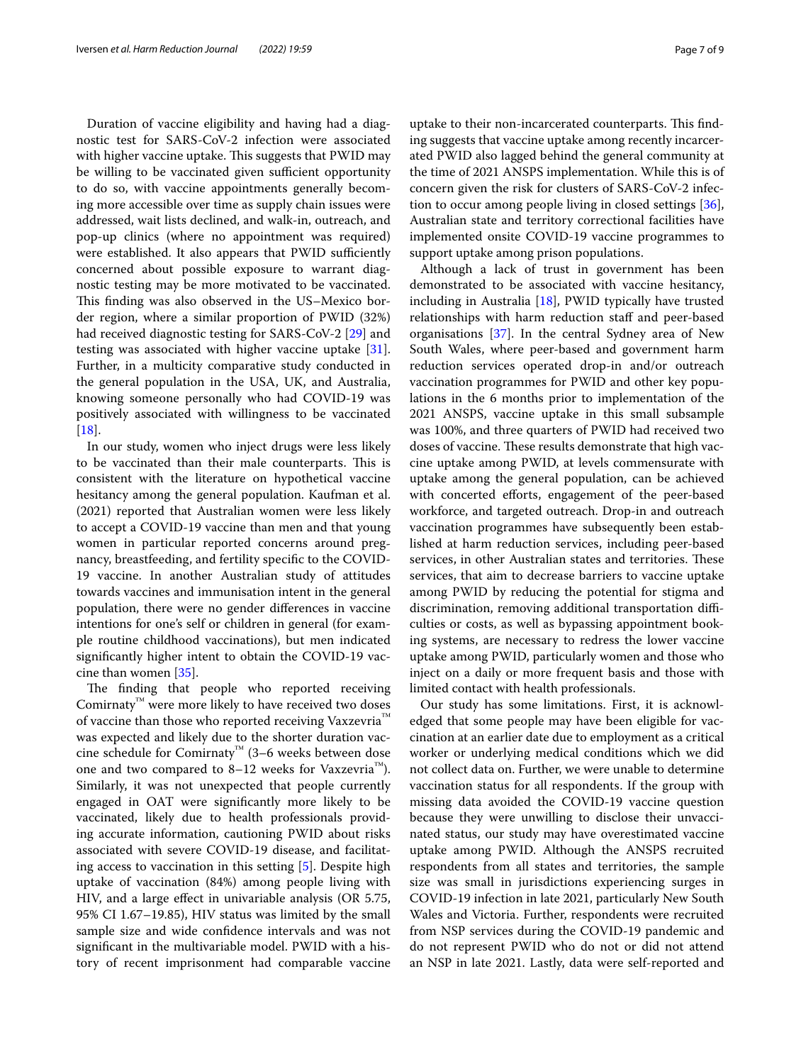Duration of vaccine eligibility and having had a diagnostic test for SARS-CoV-2 infection were associated with higher vaccine uptake. This suggests that PWID may be willing to be vaccinated given sufficient opportunity to do so, with vaccine appointments generally becoming more accessible over time as supply chain issues were addressed, wait lists declined, and walk-in, outreach, and pop-up clinics (where no appointment was required) were established. It also appears that PWID sufficiently concerned about possible exposure to warrant diagnostic testing may be more motivated to be vaccinated. This finding was also observed in the US–Mexico border region, where a similar proportion of PWID (32%) had received diagnostic testing for SARS-CoV-2 [[29\]](#page-8-9) and testing was associated with higher vaccine uptake [\[31](#page-8-11)]. Further, in a multicity comparative study conducted in the general population in the USA, UK, and Australia, knowing someone personally who had COVID-19 was positively associated with willingness to be vaccinated [[18\]](#page-7-14).

In our study, women who inject drugs were less likely to be vaccinated than their male counterparts. This is consistent with the literature on hypothetical vaccine hesitancy among the general population. Kaufman et al. (2021) reported that Australian women were less likely to accept a COVID-19 vaccine than men and that young women in particular reported concerns around pregnancy, breastfeeding, and fertility specifc to the COVID-19 vaccine. In another Australian study of attitudes towards vaccines and immunisation intent in the general population, there were no gender diferences in vaccine intentions for one's self or children in general (for example routine childhood vaccinations), but men indicated signifcantly higher intent to obtain the COVID-19 vaccine than women [[35](#page-8-15)].

The finding that people who reported receiving Comirnaty™ were more likely to have received two doses of vaccine than those who reported receiving Vaxzevria™ was expected and likely due to the shorter duration vaccine schedule for Comirnaty™ (3–6 weeks between dose one and two compared to 8–12 weeks for Vaxzevria™). Similarly, it was not unexpected that people currently engaged in OAT were signifcantly more likely to be vaccinated, likely due to health professionals providing accurate information, cautioning PWID about risks associated with severe COVID-19 disease, and facilitating access to vaccination in this setting [[5\]](#page-7-4). Despite high uptake of vaccination (84%) among people living with HIV, and a large efect in univariable analysis (OR 5.75, 95% CI 1.67–19.85), HIV status was limited by the small sample size and wide confdence intervals and was not signifcant in the multivariable model. PWID with a history of recent imprisonment had comparable vaccine

uptake to their non-incarcerated counterparts. This finding suggests that vaccine uptake among recently incarcerated PWID also lagged behind the general community at the time of 2021 ANSPS implementation. While this is of concern given the risk for clusters of SARS-CoV-2 infection to occur among people living in closed settings [\[36](#page-8-16)], Australian state and territory correctional facilities have implemented onsite COVID-19 vaccine programmes to support uptake among prison populations.

Although a lack of trust in government has been demonstrated to be associated with vaccine hesitancy, including in Australia [\[18](#page-7-14)], PWID typically have trusted relationships with harm reduction staf and peer-based organisations [\[37](#page-8-17)]. In the central Sydney area of New South Wales, where peer-based and government harm reduction services operated drop-in and/or outreach vaccination programmes for PWID and other key populations in the 6 months prior to implementation of the 2021 ANSPS, vaccine uptake in this small subsample was 100%, and three quarters of PWID had received two doses of vaccine. These results demonstrate that high vaccine uptake among PWID, at levels commensurate with uptake among the general population, can be achieved with concerted efforts, engagement of the peer-based workforce, and targeted outreach. Drop-in and outreach vaccination programmes have subsequently been established at harm reduction services, including peer-based services, in other Australian states and territories. These services, that aim to decrease barriers to vaccine uptake among PWID by reducing the potential for stigma and discrimination, removing additional transportation difficulties or costs, as well as bypassing appointment booking systems, are necessary to redress the lower vaccine uptake among PWID, particularly women and those who inject on a daily or more frequent basis and those with limited contact with health professionals.

Our study has some limitations. First, it is acknowledged that some people may have been eligible for vaccination at an earlier date due to employment as a critical worker or underlying medical conditions which we did not collect data on. Further, we were unable to determine vaccination status for all respondents. If the group with missing data avoided the COVID-19 vaccine question because they were unwilling to disclose their unvaccinated status, our study may have overestimated vaccine uptake among PWID. Although the ANSPS recruited respondents from all states and territories, the sample size was small in jurisdictions experiencing surges in COVID-19 infection in late 2021, particularly New South Wales and Victoria. Further, respondents were recruited from NSP services during the COVID-19 pandemic and do not represent PWID who do not or did not attend an NSP in late 2021. Lastly, data were self-reported and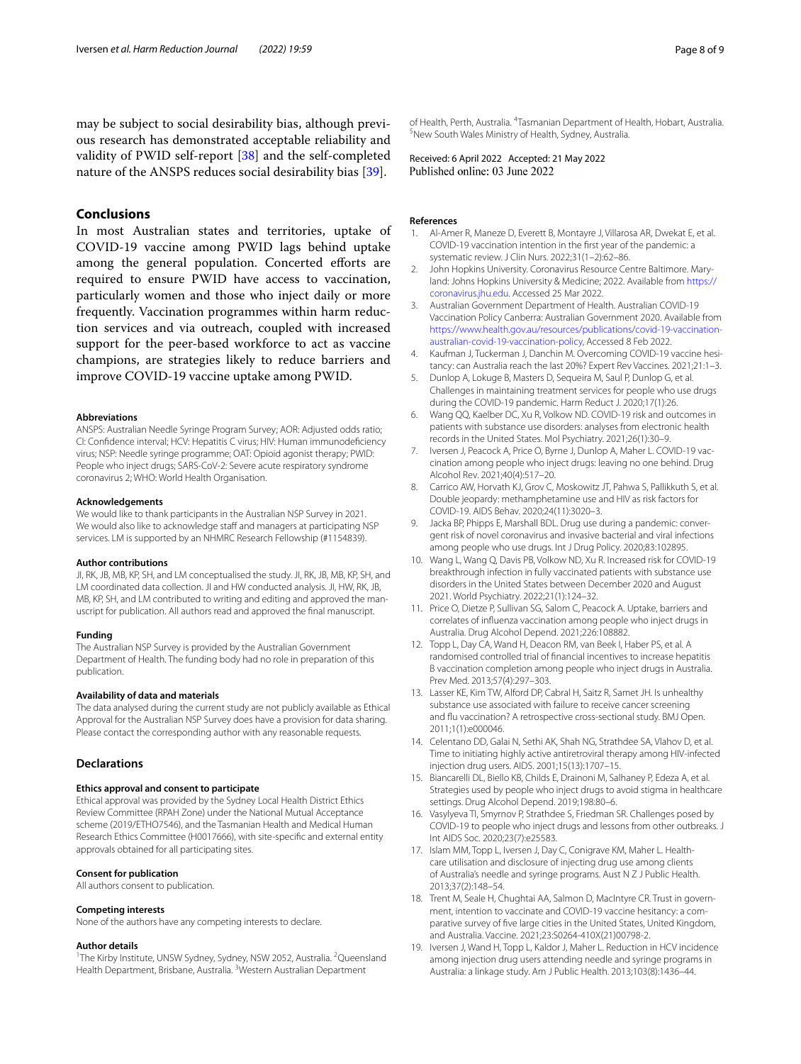may be subject to social desirability bias, although previous research has demonstrated acceptable reliability and validity of PWID self-report [[38\]](#page-8-18) and the self-completed nature of the ANSPS reduces social desirability bias [\[39](#page-8-19)].

# **Conclusions**

In most Australian states and territories, uptake of COVID-19 vaccine among PWID lags behind uptake among the general population. Concerted efforts are required to ensure PWID have access to vaccination, particularly women and those who inject daily or more frequently. Vaccination programmes within harm reduction services and via outreach, coupled with increased support for the peer-based workforce to act as vaccine champions, are strategies likely to reduce barriers and improve COVID-19 vaccine uptake among PWID.

#### **Abbreviations**

ANSPS: Australian Needle Syringe Program Survey; AOR: Adjusted odds ratio; CI: Confdence interval; HCV: Hepatitis C virus; HIV: Human immunodefciency virus; NSP: Needle syringe programme; OAT: Opioid agonist therapy; PWID: People who inject drugs; SARS-CoV-2: Severe acute respiratory syndrome coronavirus 2; WHO: World Health Organisation.

#### **Acknowledgements**

We would like to thank participants in the Australian NSP Survey in 2021. We would also like to acknowledge staff and managers at participating NSP services. LM is supported by an NHMRC Research Fellowship (#1154839).

#### **Author contributions**

JI, RK, JB, MB, KP, SH, and LM conceptualised the study. JI, RK, JB, MB, KP, SH, and LM coordinated data collection. JI and HW conducted analysis. JI, HW, RK, JB, MB, KP, SH, and LM contributed to writing and editing and approved the manuscript for publication. All authors read and approved the fnal manuscript.

#### **Funding**

The Australian NSP Survey is provided by the Australian Government Department of Health. The funding body had no role in preparation of this publication.

#### **Availability of data and materials**

The data analysed during the current study are not publicly available as Ethical Approval for the Australian NSP Survey does have a provision for data sharing. Please contact the corresponding author with any reasonable requests.

#### **Declarations**

#### **Ethics approval and consent to participate**

Ethical approval was provided by the Sydney Local Health District Ethics Review Committee (RPAH Zone) under the National Mutual Acceptance scheme (2019/ETHO7546), and the Tasmanian Health and Medical Human Research Ethics Committee (H0017666), with site-specifc and external entity approvals obtained for all participating sites.

#### **Consent for publication**

All authors consent to publication.

#### **Competing interests**

None of the authors have any competing interests to declare.

#### **Author details**

<sup>1</sup>The Kirby Institute, UNSW Sydney, Sydney, NSW 2052, Australia. <sup>2</sup>Queensland Health Department, Brisbane, Australia. <sup>3</sup>Western Australian Department

of Health, Perth, Australia. <sup>4</sup> Tasmanian Department of Health, Hobart, Australia.<br><sup>5</sup> New South Wales Ministry of Health, Sydney, Australia. <sup>5</sup>New South Wales Ministry of Health, Sydney, Australia.

Received: 6 April 2022 Accepted: 21 May 2022<br>Published online: 03 June 2022

#### **References**

- <span id="page-7-0"></span>Al-Amer R, Maneze D, Everett B, Montayre J, Villarosa AR, Dwekat E, et al. COVID-19 vaccination intention in the frst year of the pandemic: a systematic review. J Clin Nurs. 2022;31(1–2):62–86.
- <span id="page-7-1"></span>2. John Hopkins University. Coronavirus Resource Centre Baltimore. Maryland: Johns Hopkins University & Medicine; 2022. Available from [https://](https://coronavirus.jhu.edu) [coronavirus.jhu.edu](https://coronavirus.jhu.edu). Accessed 25 Mar 2022.
- <span id="page-7-2"></span>3. Australian Government Department of Health. Australian COVID-19 Vaccination Policy Canberra: Australian Government 2020. Available from [https://www.health.gov.au/resources/publications/covid-19-vaccination](https://www.health.gov.au/resources/publications/covid-19-vaccination-australian-covid-19-vaccination-policy)[australian-covid-19-vaccination-policy](https://www.health.gov.au/resources/publications/covid-19-vaccination-australian-covid-19-vaccination-policy), Accessed 8 Feb 2022.
- <span id="page-7-3"></span>4. Kaufman J, Tuckerman J, Danchin M. Overcoming COVID-19 vaccine hesitancy: can Australia reach the last 20%? Expert Rev Vaccines. 2021;21:1–3.
- <span id="page-7-4"></span>5. Dunlop A, Lokuge B, Masters D, Sequeira M, Saul P, Dunlop G, et al. Challenges in maintaining treatment services for people who use drugs during the COVID-19 pandemic. Harm Reduct J. 2020;17(1):26.
- 6. Wang QQ, Kaelber DC, Xu R, Volkow ND. COVID-19 risk and outcomes in patients with substance use disorders: analyses from electronic health records in the United States. Mol Psychiatry. 2021;26(1):30–9.
- <span id="page-7-16"></span>7. Iversen J, Peacock A, Price O, Byrne J, Dunlop A, Maher L. COVID-19 vaccination among people who inject drugs: leaving no one behind. Drug Alcohol Rev. 2021;40(4):517–20.
- 8. Carrico AW, Horvath KJ, Grov C, Moskowitz JT, Pahwa S, Pallikkuth S, et al. Double jeopardy: methamphetamine use and HIV as risk factors for COVID-19. AIDS Behav. 2020;24(11):3020–3.
- <span id="page-7-5"></span>9. Jacka BP, Phipps E, Marshall BDL. Drug use during a pandemic: convergent risk of novel coronavirus and invasive bacterial and viral infections among people who use drugs. Int J Drug Policy. 2020;83:102895.
- <span id="page-7-6"></span>10. Wang L, Wang Q, Davis PB, Volkow ND, Xu R. Increased risk for COVID-19 breakthrough infection in fully vaccinated patients with substance use disorders in the United States between December 2020 and August 2021. World Psychiatry. 2022;21(1):124–32.
- <span id="page-7-7"></span>11. Price O, Dietze P, Sullivan SG, Salom C, Peacock A. Uptake, barriers and correlates of infuenza vaccination among people who inject drugs in Australia. Drug Alcohol Depend. 2021;226:108882.
- <span id="page-7-8"></span>12. Topp L, Day CA, Wand H, Deacon RM, van Beek I, Haber PS, et al. A randomised controlled trial of fnancial incentives to increase hepatitis B vaccination completion among people who inject drugs in Australia. Prev Med. 2013;57(4):297–303.
- <span id="page-7-9"></span>13. Lasser KE, Kim TW, Alford DP, Cabral H, Saitz R, Samet JH. Is unhealthy substance use associated with failure to receive cancer screening and fu vaccination? A retrospective cross-sectional study. BMJ Open. 2011;1(1):e000046.
- <span id="page-7-10"></span>14. Celentano DD, Galai N, Sethi AK, Shah NG, Strathdee SA, Vlahov D, et al. Time to initiating highly active antiretroviral therapy among HIV-infected injection drug users. AIDS. 2001;15(13):1707–15.
- <span id="page-7-11"></span>15. Biancarelli DL, Biello KB, Childs E, Drainoni M, Salhaney P, Edeza A, et al. Strategies used by people who inject drugs to avoid stigma in healthcare settings. Drug Alcohol Depend. 2019;198:80–6.
- <span id="page-7-12"></span>16. Vasylyeva TI, Smyrnov P, Strathdee S, Friedman SR. Challenges posed by COVID-19 to people who inject drugs and lessons from other outbreaks. J Int AIDS Soc. 2020;23(7):e25583.
- <span id="page-7-13"></span>17. Islam MM, Topp L, Iversen J, Day C, Conigrave KM, Maher L. Healthcare utilisation and disclosure of injecting drug use among clients of Australia's needle and syringe programs. Aust N Z J Public Health. 2013;37(2):148–54.
- <span id="page-7-14"></span>18. Trent M, Seale H, Chughtai AA, Salmon D, MacIntyre CR. Trust in government, intention to vaccinate and COVID-19 vaccine hesitancy: a comparative survey of fve large cities in the United States, United Kingdom, and Australia. Vaccine. 2021;23:S0264-410X(21)00798-2.
- <span id="page-7-15"></span>19. Iversen J, Wand H, Topp L, Kaldor J, Maher L. Reduction in HCV incidence among injection drug users attending needle and syringe programs in Australia: a linkage study. Am J Public Health. 2013;103(8):1436–44.